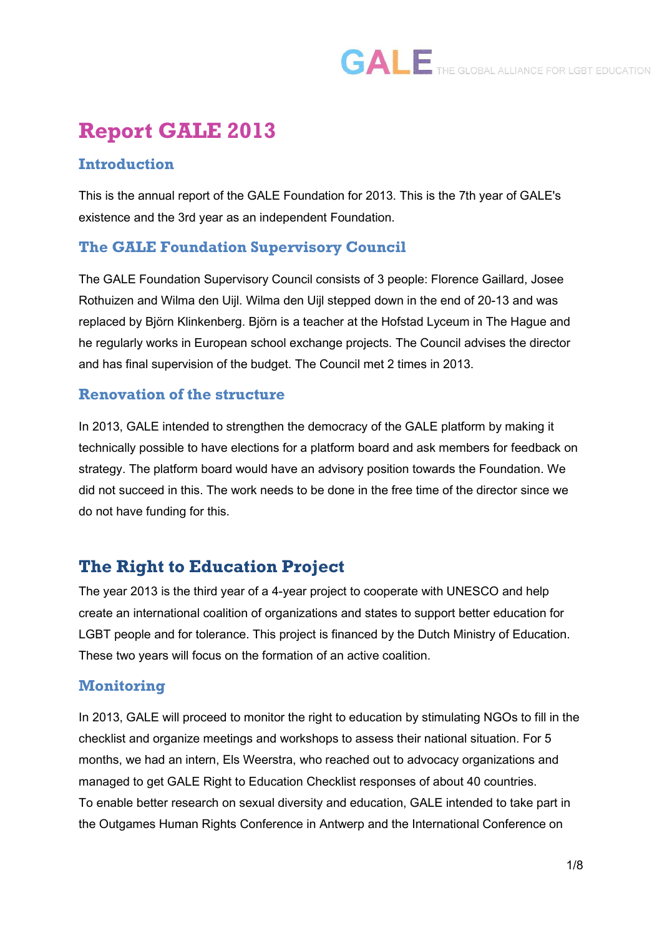### **Report GALE 2013**

#### **Introduction**

This is the annual report of the GALE Foundation for 2013. This is the 7th year of GALE's existence and the 3rd year as an independent Foundation.

#### **The GALE Foundation Supervisory Council**

The GALE Foundation Supervisory Council consists of 3 people: Florence Gaillard, Josee Rothuizen and Wilma den Uijl. Wilma den Uijl stepped down in the end of 20-13 and was replaced by Björn Klinkenberg. Björn is a teacher at the Hofstad Lyceum in The Hague and he regularly works in European school exchange projects. The Council advises the director and has final supervision of the budget. The Council met 2 times in 2013.

#### **Renovation of the structure**

In 2013, GALE intended to strengthen the democracy of the GALE platform by making it technically possible to have elections for a platform board and ask members for feedback on strategy. The platform board would have an advisory position towards the Foundation. We did not succeed in this. The work needs to be done in the free time of the director since we do not have funding for this.

### **The Right to Education Project**

The year 2013 is the third year of a 4-year project to cooperate with UNESCO and help create an international coalition of organizations and states to support better education for LGBT people and for tolerance. This project is financed by the Dutch Ministry of Education. These two years will focus on the formation of an active coalition.

#### **Monitoring**

In 2013, GALE will proceed to monitor the right to education by stimulating NGOs to fill in the checklist and organize meetings and workshops to assess their national situation. For 5 months, we had an intern, Els Weerstra, who reached out to advocacy organizations and managed to get GALE Right to Education Checklist responses of about 40 countries. To enable better research on sexual diversity and education, GALE intended to take part in the Outgames Human Rights Conference in Antwerp and the International Conference on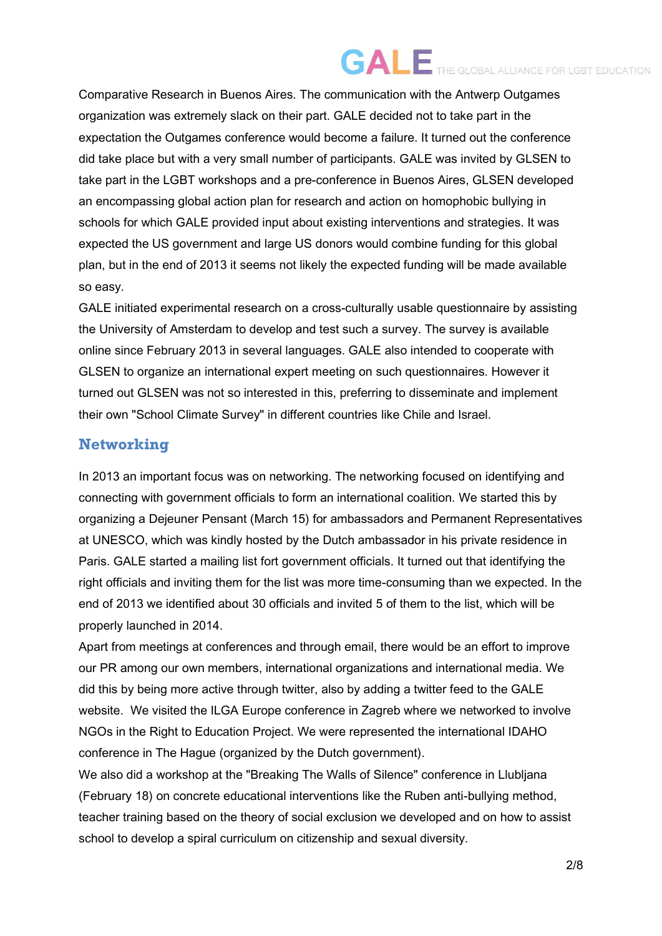Comparative Research in Buenos Aires. The communication with the Antwerp Outgames organization was extremely slack on their part. GALE decided not to take part in the expectation the Outgames conference would become a failure. It turned out the conference did take place but with a very small number of participants. GALE was invited by GLSEN to take part in the LGBT workshops and a pre-conference in Buenos Aires, GLSEN developed an encompassing global action plan for research and action on homophobic bullying in schools for which GALE provided input about existing interventions and strategies. It was expected the US government and large US donors would combine funding for this global plan, but in the end of 2013 it seems not likely the expected funding will be made available so easy.

GALE initiated experimental research on a cross-culturally usable questionnaire by assisting the University of Amsterdam to develop and test such a survey. The survey is available online since February 2013 in several languages. GALE also intended to cooperate with GLSEN to organize an international expert meeting on such questionnaires. However it turned out GLSEN was not so interested in this, preferring to disseminate and implement their own "School Climate Survey" in different countries like Chile and Israel.

#### **Networking**

In 2013 an important focus was on networking. The networking focused on identifying and connecting with government officials to form an international coalition. We started this by organizing a Dejeuner Pensant (March 15) for ambassadors and Permanent Representatives at UNESCO, which was kindly hosted by the Dutch ambassador in his private residence in Paris. GALE started a mailing list fort government officials. It turned out that identifying the right officials and inviting them for the list was more time-consuming than we expected. In the end of 2013 we identified about 30 officials and invited 5 of them to the list, which will be properly launched in 2014.

Apart from meetings at conferences and through email, there would be an effort to improve our PR among our own members, international organizations and international media. We did this by being more active through twitter, also by adding a twitter feed to the GALE website. We visited the ILGA Europe conference in Zagreb where we networked to involve NGOs in the Right to Education Project. We were represented the international IDAHO conference in The Hague (organized by the Dutch government).

We also did a workshop at the "Breaking The Walls of Silence" conference in Llubljana (February 18) on concrete educational interventions like the Ruben anti-bullying method, teacher training based on the theory of social exclusion we developed and on how to assist school to develop a spiral curriculum on citizenship and sexual diversity.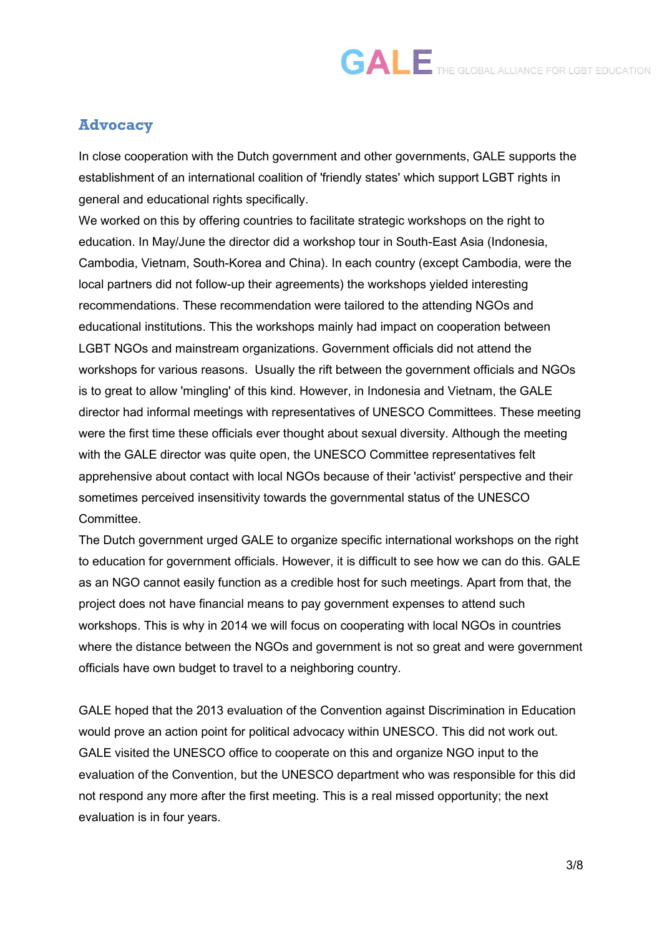#### **Advocacy**

In close cooperation with the Dutch government and other governments, GALE supports the establishment of an international coalition of 'friendly states' which support LGBT rights in general and educational rights specifically.

We worked on this by offering countries to facilitate strategic workshops on the right to education. In May/June the director did a workshop tour in South-East Asia (Indonesia, Cambodia, Vietnam, South-Korea and China). In each country (except Cambodia, were the local partners did not follow-up their agreements) the workshops yielded interesting recommendations. These recommendation were tailored to the attending NGOs and educational institutions. This the workshops mainly had impact on cooperation between LGBT NGOs and mainstream organizations. Government officials did not attend the workshops for various reasons. Usually the rift between the government officials and NGOs is to great to allow 'mingling' of this kind. However, in Indonesia and Vietnam, the GALE director had informal meetings with representatives of UNESCO Committees. These meeting were the first time these officials ever thought about sexual diversity. Although the meeting with the GALE director was quite open, the UNESCO Committee representatives felt apprehensive about contact with local NGOs because of their 'activist' perspective and their sometimes perceived insensitivity towards the governmental status of the UNESCO Committee.

The Dutch government urged GALE to organize specific international workshops on the right to education for government officials. However, it is difficult to see how we can do this. GALE as an NGO cannot easily function as a credible host for such meetings. Apart from that, the project does not have financial means to pay government expenses to attend such workshops. This is why in 2014 we will focus on cooperating with local NGOs in countries where the distance between the NGOs and government is not so great and were government officials have own budget to travel to a neighboring country.

GALE hoped that the 2013 evaluation of the Convention against Discrimination in Education would prove an action point for political advocacy within UNESCO. This did not work out. GALE visited the UNESCO office to cooperate on this and organize NGO input to the evaluation of the Convention, but the UNESCO department who was responsible for this did not respond any more after the first meeting. This is a real missed opportunity; the next evaluation is in four years.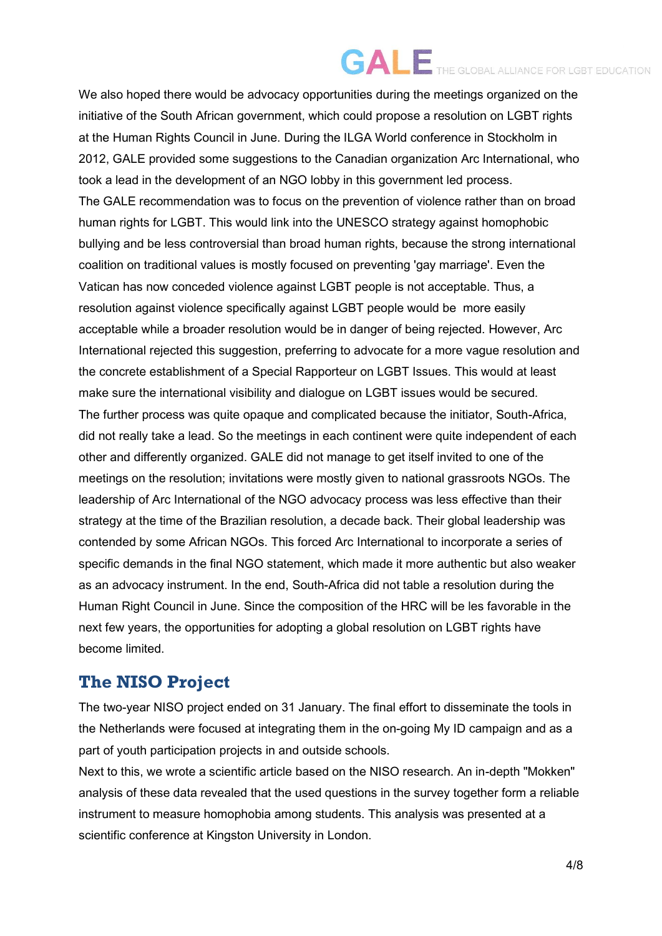We also hoped there would be advocacy opportunities during the meetings organized on the initiative of the South African government, which could propose a resolution on LGBT rights at the Human Rights Council in June. During the ILGA World conference in Stockholm in 2012, GALE provided some suggestions to the Canadian organization Arc International, who took a lead in the development of an NGO lobby in this government led process. The GALE recommendation was to focus on the prevention of violence rather than on broad human rights for LGBT. This would link into the UNESCO strategy against homophobic bullying and be less controversial than broad human rights, because the strong international coalition on traditional values is mostly focused on preventing 'gay marriage'. Even the Vatican has now conceded violence against LGBT people is not acceptable. Thus, a resolution against violence specifically against LGBT people would be more easily acceptable while a broader resolution would be in danger of being rejected. However, Arc International rejected this suggestion, preferring to advocate for a more vague resolution and the concrete establishment of a Special Rapporteur on LGBT Issues. This would at least make sure the international visibility and dialogue on LGBT issues would be secured. The further process was quite opaque and complicated because the initiator, South-Africa, did not really take a lead. So the meetings in each continent were quite independent of each other and differently organized. GALE did not manage to get itself invited to one of the meetings on the resolution; invitations were mostly given to national grassroots NGOs. The leadership of Arc International of the NGO advocacy process was less effective than their strategy at the time of the Brazilian resolution, a decade back. Their global leadership was contended by some African NGOs. This forced Arc International to incorporate a series of specific demands in the final NGO statement, which made it more authentic but also weaker as an advocacy instrument. In the end, South-Africa did not table a resolution during the Human Right Council in June. Since the composition of the HRC will be les favorable in the next few years, the opportunities for adopting a global resolution on LGBT rights have become limited.

### **The NISO Project**

The two-year NISO project ended on 31 January. The final effort to disseminate the tools in the Netherlands were focused at integrating them in the on-going My ID campaign and as a part of youth participation projects in and outside schools.

Next to this, we wrote a scientific article based on the NISO research. An in-depth "Mokken" analysis of these data revealed that the used questions in the survey together form a reliable instrument to measure homophobia among students. This analysis was presented at a scientific conference at Kingston University in London.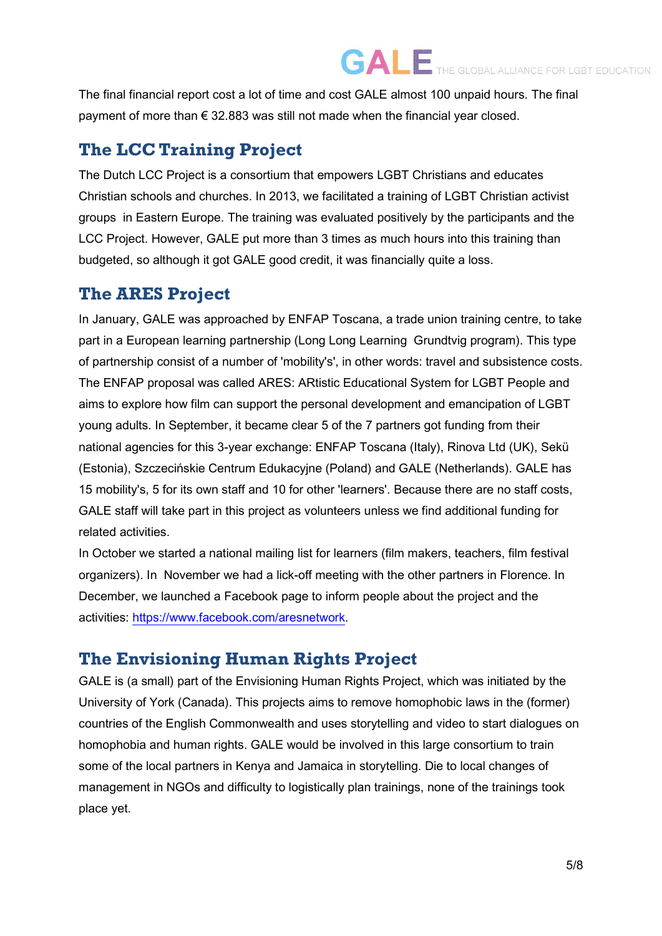The final financial report cost a lot of time and cost GALE almost 100 unpaid hours. The final payment of more than  $\epsilon$  32.883 was still not made when the financial year closed.

### **The LCC Training Project**

The Dutch LCC Project is a consortium that empowers LGBT Christians and educates Christian schools and churches. In 2013, we facilitated a training of LGBT Christian activist groups in Eastern Europe. The training was evaluated positively by the participants and the LCC Project. However, GALE put more than 3 times as much hours into this training than budgeted, so although it got GALE good credit, it was financially quite a loss.

#### **The ARES Project**

In January, GALE was approached by ENFAP Toscana, a trade union training centre, to take part in a European learning partnership (Long Long Learning Grundtvig program). This type of partnership consist of a number of 'mobility's', in other words: travel and subsistence costs. The ENFAP proposal was called ARES: ARtistic Educational System for LGBT People and aims to explore how film can support the personal development and emancipation of LGBT young adults. In September, it became clear 5 of the 7 partners got funding from their national agencies for this 3-year exchange: ENFAP Toscana (Italy), Rinova Ltd (UK), Sekü (Estonia), Szczecińskie Centrum Edukacyjne (Poland) and GALE (Netherlands). GALE has 15 mobility's, 5 for its own staff and 10 for other 'learners'. Because there are no staff costs, GALE staff will take part in this project as volunteers unless we find additional funding for related activities.

In October we started a national mailing list for learners (film makers, teachers, film festival organizers). In November we had a lick-off meeting with the other partners in Florence. In December, we launched a Facebook page to inform people about the project and the activities: [https://www.facebook.com/aresnetwork.](https://www.facebook.com/aresnetwork)

### **The Envisioning Human Rights Project**

GALE is (a small) part of the Envisioning Human Rights Project, which was initiated by the University of York (Canada). This projects aims to remove homophobic laws in the (former) countries of the English Commonwealth and uses storytelling and video to start dialogues on homophobia and human rights. GALE would be involved in this large consortium to train some of the local partners in Kenya and Jamaica in storytelling. Die to local changes of management in NGOs and difficulty to logistically plan trainings, none of the trainings took place yet.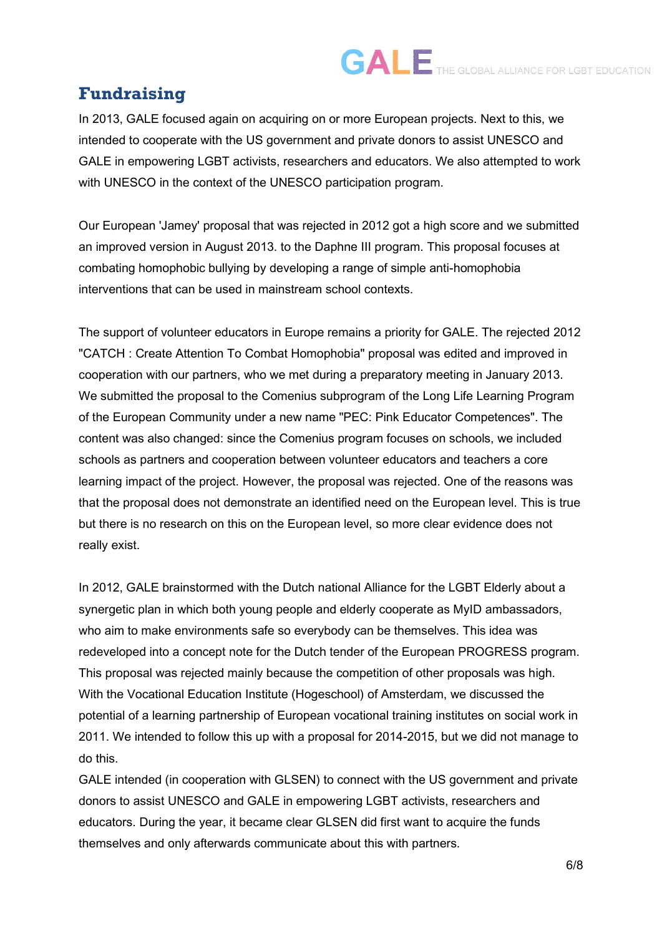### **Fundraising**

In 2013, GALE focused again on acquiring on or more European projects. Next to this, we intended to cooperate with the US government and private donors to assist UNESCO and GALE in empowering LGBT activists, researchers and educators. We also attempted to work with UNESCO in the context of the UNESCO participation program.

Our European 'Jamey' proposal that was rejected in 2012 got a high score and we submitted an improved version in August 2013. to the Daphne III program. This proposal focuses at combating homophobic bullying by developing a range of simple anti-homophobia interventions that can be used in mainstream school contexts.

The support of volunteer educators in Europe remains a priority for GALE. The rejected 2012 "CATCH : Create Attention To Combat Homophobia" proposal was edited and improved in cooperation with our partners, who we met during a preparatory meeting in January 2013. We submitted the proposal to the Comenius subprogram of the Long Life Learning Program of the European Community under a new name "PEC: Pink Educator Competences". The content was also changed: since the Comenius program focuses on schools, we included schools as partners and cooperation between volunteer educators and teachers a core learning impact of the project. However, the proposal was rejected. One of the reasons was that the proposal does not demonstrate an identified need on the European level. This is true but there is no research on this on the European level, so more clear evidence does not really exist.

In 2012, GALE brainstormed with the Dutch national Alliance for the LGBT Elderly about a synergetic plan in which both young people and elderly cooperate as MyID ambassadors, who aim to make environments safe so everybody can be themselves. This idea was redeveloped into a concept note for the Dutch tender of the European PROGRESS program. This proposal was rejected mainly because the competition of other proposals was high. With the Vocational Education Institute (Hogeschool) of Amsterdam, we discussed the potential of a learning partnership of European vocational training institutes on social work in 2011. We intended to follow this up with a proposal for 2014-2015, but we did not manage to do this.

GALE intended (in cooperation with GLSEN) to connect with the US government and private donors to assist UNESCO and GALE in empowering LGBT activists, researchers and educators. During the year, it became clear GLSEN did first want to acquire the funds themselves and only afterwards communicate about this with partners.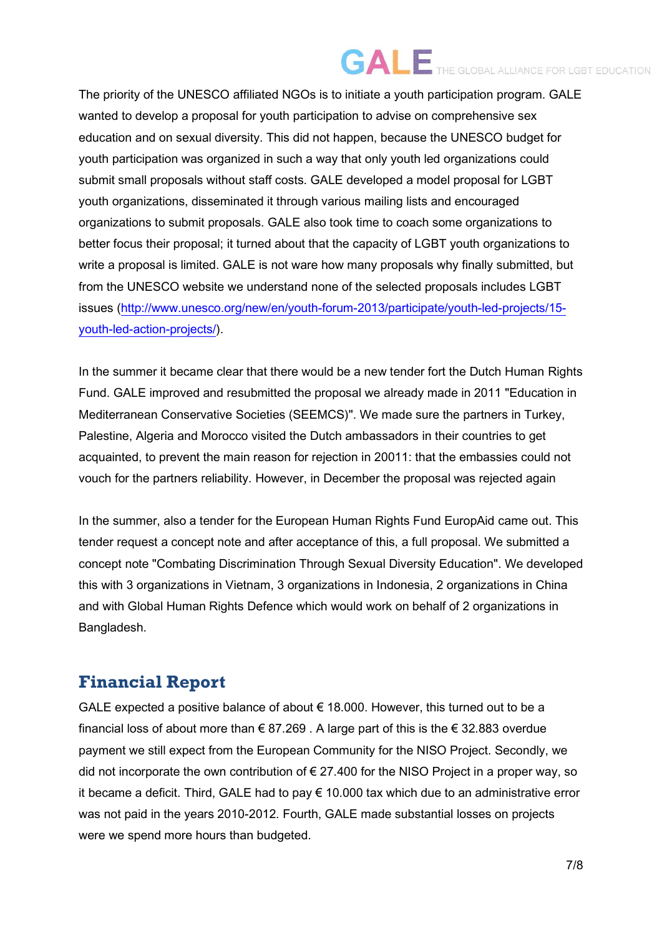The priority of the UNESCO affiliated NGOs is to initiate a youth participation program. GALE wanted to develop a proposal for youth participation to advise on comprehensive sex education and on sexual diversity. This did not happen, because the UNESCO budget for youth participation was organized in such a way that only youth led organizations could submit small proposals without staff costs. GALE developed a model proposal for LGBT youth organizations, disseminated it through various mailing lists and encouraged organizations to submit proposals. GALE also took time to coach some organizations to better focus their proposal; it turned about that the capacity of LGBT youth organizations to write a proposal is limited. GALE is not ware how many proposals why finally submitted, but from the UNESCO website we understand none of the selected proposals includes LGBT issues [\(http://www.unesco.org/new/en/youth-forum-2013/participate/youth-led-projects/15](http://www.unesco.org/new/en/youth-forum-2013/participate/youth-led-projects/15-youth-led-action-projects/) [youth-led-action-projects/\)](http://www.unesco.org/new/en/youth-forum-2013/participate/youth-led-projects/15-youth-led-action-projects/).

In the summer it became clear that there would be a new tender fort the Dutch Human Rights Fund. GALE improved and resubmitted the proposal we already made in 2011 "Education in Mediterranean Conservative Societies (SEEMCS)". We made sure the partners in Turkey, Palestine, Algeria and Morocco visited the Dutch ambassadors in their countries to get acquainted, to prevent the main reason for rejection in 20011: that the embassies could not vouch for the partners reliability. However, in December the proposal was rejected again

In the summer, also a tender for the European Human Rights Fund EuropAid came out. This tender request a concept note and after acceptance of this, a full proposal. We submitted a concept note "Combating Discrimination Through Sexual Diversity Education". We developed this with 3 organizations in Vietnam, 3 organizations in Indonesia, 2 organizations in China and with Global Human Rights Defence which would work on behalf of 2 organizations in Bangladesh.

### **Financial Report**

GALE expected a positive balance of about € 18.000. However, this turned out to be a financial loss of about more than  $\epsilon$  87.269. A large part of this is the  $\epsilon$  32.883 overdue payment we still expect from the European Community for the NISO Project. Secondly, we did not incorporate the own contribution of  $\epsilon$  27.400 for the NISO Project in a proper way, so it became a deficit. Third, GALE had to pay  $\epsilon$  10.000 tax which due to an administrative error was not paid in the years 2010-2012. Fourth, GALE made substantial losses on projects were we spend more hours than budgeted.